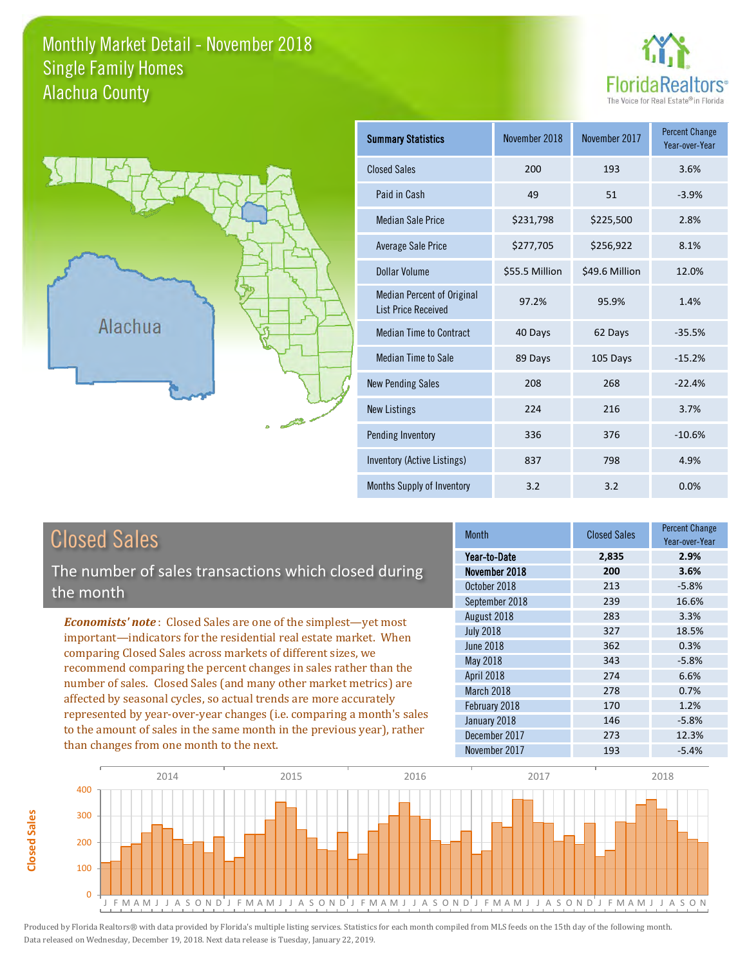#### Monthly Market Detail - November 2018 Alachua County Single Family Homes





| <b>Summary Statistics</b>                                       | November 2018  | November 2017  | <b>Percent Change</b><br>Year-over-Year |
|-----------------------------------------------------------------|----------------|----------------|-----------------------------------------|
| <b>Closed Sales</b>                                             | 200            | 193            | 3.6%                                    |
| Paid in Cash                                                    | 49             | 51             | $-3.9%$                                 |
| <b>Median Sale Price</b>                                        | \$231,798      | \$225,500      | 2.8%                                    |
| <b>Average Sale Price</b>                                       | \$277,705      | \$256,922      | 8.1%                                    |
| Dollar Volume                                                   | \$55.5 Million | \$49.6 Million | 12.0%                                   |
| <b>Median Percent of Original</b><br><b>List Price Received</b> | 97.2%          | 95.9%          | 1.4%                                    |
| <b>Median Time to Contract</b>                                  | 40 Days        | 62 Days        | $-35.5%$                                |
| <b>Median Time to Sale</b>                                      | 89 Days        | 105 Days       | $-15.2%$                                |
| <b>New Pending Sales</b>                                        | 208            | 268            | $-22.4%$                                |
| <b>New Listings</b>                                             | 224            | 216            | 3.7%                                    |
| Pending Inventory                                               | 336            | 376            | $-10.6%$                                |
| Inventory (Active Listings)                                     | 837            | 798            | 4.9%                                    |
| Months Supply of Inventory                                      | 3.2            | 3.2            | 0.0%                                    |

### Closed Sales

**Closed Sales**

Closed Sales

The number of sales transactions which closed during the month

*Economists' note* : Closed Sales are one of the simplest—yet most important—indicators for the residential real estate market. When comparing Closed Sales across markets of different sizes, we recommend comparing the percent changes in sales rather than the number of sales. Closed Sales (and many other market metrics) are affected by seasonal cycles, so actual trends are more accurately represented by year-over-year changes (i.e. comparing a month's sales to the amount of sales in the same month in the previous year), rather than changes from one month to the next.

| <b>Month</b>     | <b>Closed Sales</b> | Percent Change<br>Year-over-Year |
|------------------|---------------------|----------------------------------|
| Year-to-Date     | 2,835               | 2.9%                             |
| November 2018    | 200                 | 3.6%                             |
| October 2018     | 213                 | $-5.8%$                          |
| September 2018   | 239                 | 16.6%                            |
| August 2018      | 283                 | 3.3%                             |
| <b>July 2018</b> | 327                 | 18.5%                            |
| <b>June 2018</b> | 362                 | 0.3%                             |
| <b>May 2018</b>  | 343                 | $-5.8%$                          |
| April 2018       | 274                 | 6.6%                             |
| March 2018       | 278                 | 0.7%                             |
| February 2018    | 170                 | 1.2%                             |
| January 2018     | 146                 | $-5.8%$                          |
| December 2017    | 273                 | 12.3%                            |
| November 2017    | 193                 | $-5.4%$                          |

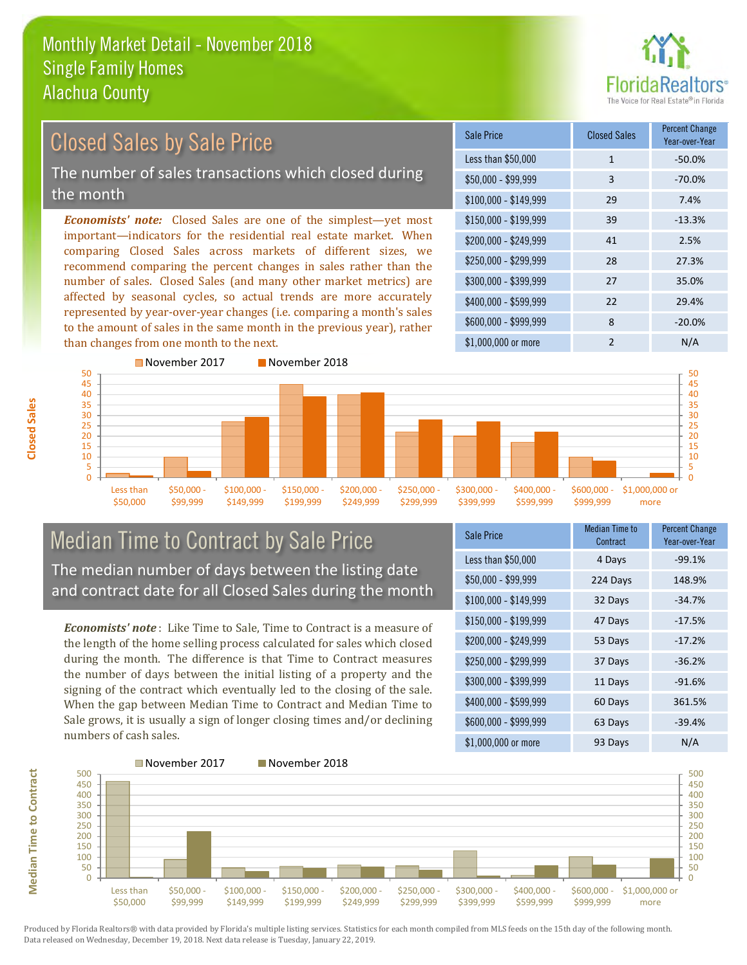

### Closed Sales by Sale Price

The number of sales transactions which closed during the month

*Economists' note:* Closed Sales are one of the simplest—yet most important—indicators for the residential real estate market. When comparing Closed Sales across markets of different sizes, we recommend comparing the percent changes in sales rather than the number of sales. Closed Sales (and many other market metrics) are affected by seasonal cycles, so actual trends are more accurately represented by year-over-year changes (i.e. comparing a month's sales to the amount of sales in the same month in the previous year), rather than changes from one month to the next.

| Sale Price            | <b>Closed Sales</b> | <b>Percent Change</b><br>Year-over-Year |
|-----------------------|---------------------|-----------------------------------------|
| Less than \$50,000    | 1                   | $-50.0%$                                |
| $$50,000 - $99,999$   | 3                   | $-70.0%$                                |
| $$100,000 - $149,999$ | 29                  | 7.4%                                    |
| $$150,000 - $199,999$ | 39                  | $-13.3%$                                |
| \$200,000 - \$249,999 | 41                  | 2.5%                                    |
| \$250,000 - \$299,999 | 28                  | 27.3%                                   |
| \$300,000 - \$399,999 | 27                  | 35.0%                                   |
| \$400,000 - \$599,999 | 22                  | 29.4%                                   |
| \$600,000 - \$999,999 | 8                   | $-20.0%$                                |
| \$1,000,000 or more   | $\mathcal{P}$       | N/A                                     |



### Median Time to Contract by Sale Price The median number of days between the listing date and contract date for all Closed Sales during the month

*Economists' note* : Like Time to Sale, Time to Contract is a measure of the length of the home selling process calculated for sales which closed during the month. The difference is that Time to Contract measures the number of days between the initial listing of a property and the signing of the contract which eventually led to the closing of the sale. When the gap between Median Time to Contract and Median Time to Sale grows, it is usually a sign of longer closing times and/or declining numbers of cash sales.

| Sale Price            | <b>Median Time to</b><br>Contract | <b>Percent Change</b><br>Year-over-Year |
|-----------------------|-----------------------------------|-----------------------------------------|
| Less than \$50,000    | 4 Days                            | $-99.1%$                                |
| $$50,000 - $99,999$   | 224 Days                          | 148.9%                                  |
| $$100,000 - $149,999$ | 32 Days                           | $-34.7%$                                |
| $$150,000 - $199,999$ | 47 Days                           | $-17.5%$                                |
| \$200,000 - \$249,999 | 53 Days                           | $-17.2%$                                |
| \$250,000 - \$299,999 | 37 Days                           | $-36.2%$                                |
| \$300,000 - \$399,999 | 11 Days                           | $-91.6%$                                |
| \$400,000 - \$599,999 | 60 Days                           | 361.5%                                  |
| \$600,000 - \$999,999 | 63 Days                           | $-39.4%$                                |
| \$1,000,000 or more   | 93 Days                           | N/A                                     |



Produced by Florida Realtors® with data provided by Florida's multiple listing services. Statistics for each month compiled from MLS feeds on the 15th day of the following month. Data released on Wednesday, December 19, 2018. Next data release is Tuesday, January 22, 2019.

**Median Time to Contract**

**Median Time to Contract**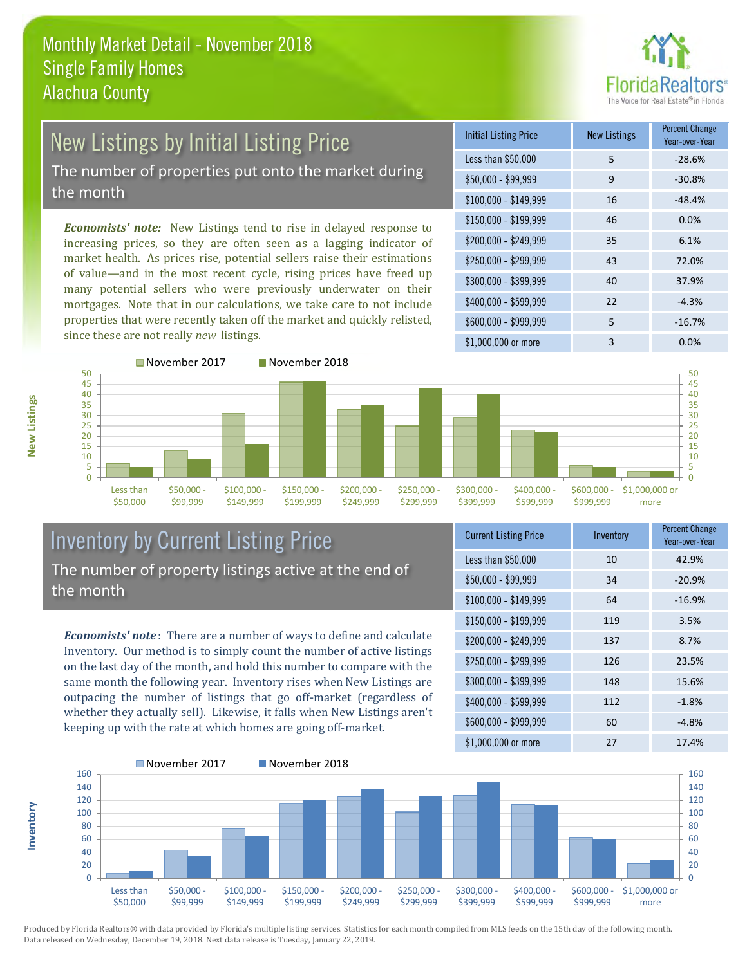

# New Listings by Initial Listing Price

The number of properties put onto the market during the month

*Economists' note:* New Listings tend to rise in delayed response to increasing prices, so they are often seen as a lagging indicator of market health. As prices rise, potential sellers raise their estimations of value—and in the most recent cycle, rising prices have freed up many potential sellers who were previously underwater on their mortgages. Note that in our calculations, we take care to not include properties that were recently taken off the market and quickly relisted, since these are not really *new* listings.





### Inventory by Current Listing Price The number of property listings active at the end of the month

*Economists' note* : There are a number of ways to define and calculate Inventory. Our method is to simply count the number of active listings on the last day of the month, and hold this number to compare with the same month the following year. Inventory rises when New Listings are outpacing the number of listings that go off-market (regardless of whether they actually sell). Likewise, it falls when New Listings aren't keeping up with the rate at which homes are going off-market.

**Inventory**

**New Listings**

| <b>Current Listing Price</b> | Inventory | <b>Percent Change</b><br>Year-over-Year |
|------------------------------|-----------|-----------------------------------------|
| Less than \$50,000           | 10        | 42.9%                                   |
| \$50,000 - \$99,999          | 34        | $-20.9%$                                |
| $$100,000 - $149,999$        | 64        | $-16.9%$                                |
| $$150,000 - $199,999$        | 119       | 3.5%                                    |
| \$200,000 - \$249,999        | 137       | 8.7%                                    |
| \$250,000 - \$299,999        | 126       | 23.5%                                   |
| \$300,000 - \$399,999        | 148       | 15.6%                                   |
| \$400,000 - \$599,999        | 112       | $-1.8%$                                 |
| \$600,000 - \$999,999        | 60        | $-4.8%$                                 |
| \$1,000,000 or more          | 27        | 17.4%                                   |

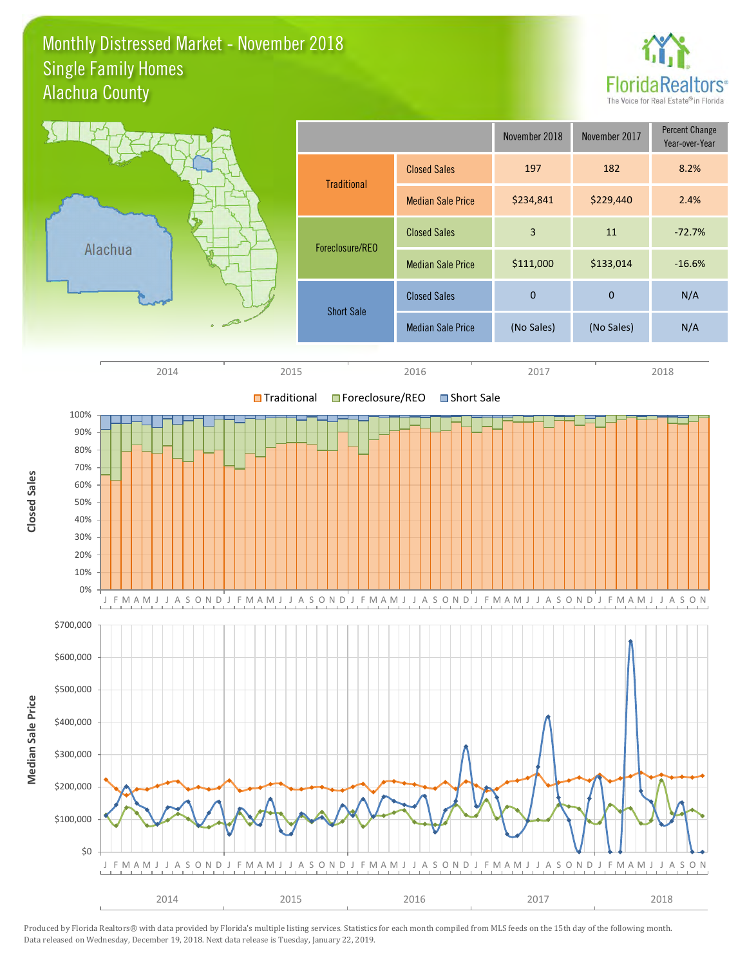### Monthly Distressed Market - November 2018 Alachua County Single Family Homes



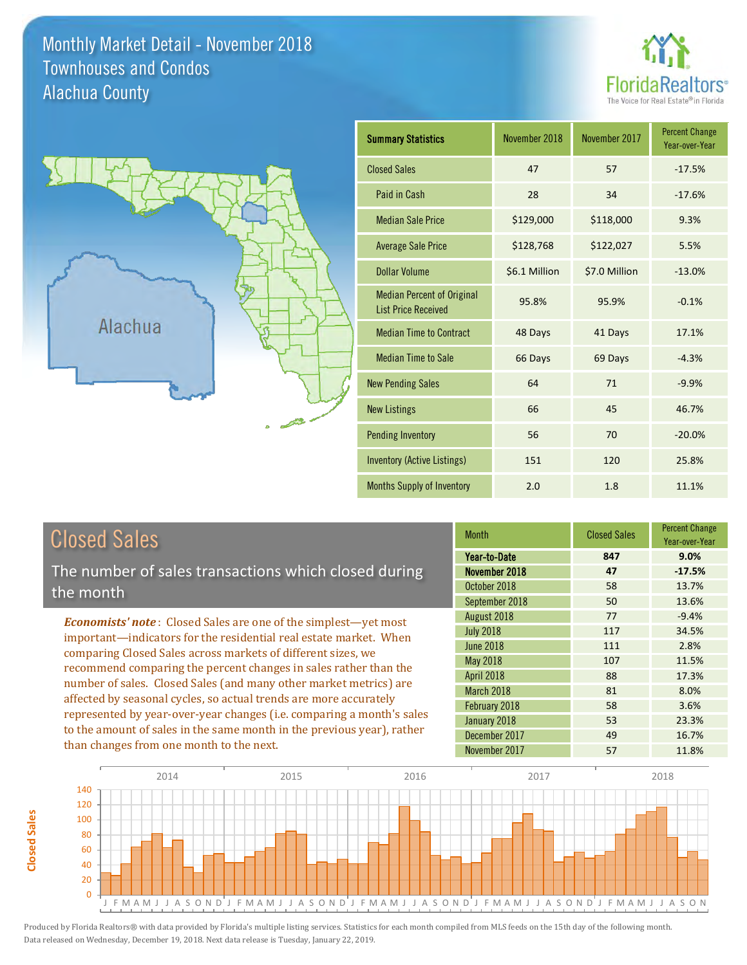### Monthly Market Detail - November 2018 Alachua County Townhouses and Condos





**Closed Sales**

**Closed Sales** 

| <b>Summary Statistics</b>                                       | November 2018 | November 2017 | <b>Percent Change</b><br>Year-over-Year |
|-----------------------------------------------------------------|---------------|---------------|-----------------------------------------|
| <b>Closed Sales</b>                                             | 47            | 57            | $-17.5%$                                |
| Paid in Cash                                                    | 28            | 34            | $-17.6%$                                |
| <b>Median Sale Price</b>                                        | \$129,000     | \$118,000     | 9.3%                                    |
| <b>Average Sale Price</b>                                       | \$128,768     | \$122,027     | 5.5%                                    |
| <b>Dollar Volume</b>                                            | \$6.1 Million | \$7.0 Million | $-13.0%$                                |
| <b>Median Percent of Original</b><br><b>List Price Received</b> | 95.8%         | 95.9%         | $-0.1%$                                 |
| <b>Median Time to Contract</b>                                  | 48 Days       | 41 Days       | 17.1%                                   |
| <b>Median Time to Sale</b>                                      | 66 Days       | 69 Days       | $-4.3%$                                 |
| <b>New Pending Sales</b>                                        | 64            | 71            | $-9.9%$                                 |
| <b>New Listings</b>                                             | 66            | 45            | 46.7%                                   |
| <b>Pending Inventory</b>                                        | 56            | 70            | $-20.0%$                                |
| Inventory (Active Listings)                                     | 151           | 120           | 25.8%                                   |
| Months Supply of Inventory                                      | 2.0           | 1.8           | 11.1%                                   |

| <b>Closed Sales</b>                                                    | <b>Month</b>      | <b>Closed Sales</b> | <b>Percent Change</b><br>Year-over-Year |
|------------------------------------------------------------------------|-------------------|---------------------|-----------------------------------------|
|                                                                        | Year-to-Date      | 847                 | 9.0%                                    |
| The number of sales transactions which closed during                   | November 2018     | 47                  | $-17.5%$                                |
| the month                                                              | October 2018      | 58                  | 13.7%                                   |
|                                                                        | September 2018    | 50                  | 13.6%                                   |
| <b>Economists' note:</b> Closed Sales are one of the simplest—yet most | August 2018       | 77                  | $-9.4%$                                 |
| important-indicators for the residential real estate market. When      | <b>July 2018</b>  | 117                 | 34.5%                                   |
| comparing Closed Sales across markets of different sizes, we           | <b>June 2018</b>  | 111                 | 2.8%                                    |
| recommend comparing the percent changes in sales rather than the       | May 2018          | 107                 | 11.5%                                   |
|                                                                        | <b>April 2018</b> | 88                  | 17.3%                                   |
| number of sales. Closed Sales (and many other market metrics) are      | <b>March 2018</b> | 81                  | 8.0%                                    |
| affected by seasonal cycles, so actual trends are more accurately      | February 2018     | 58                  | 3.6%                                    |
| represented by year-over-year changes (i.e. comparing a month's sales  | January 2018      | 53                  | 23.3%                                   |
| to the amount of sales in the same month in the previous year), rather | December 2017     | 49                  | 16.7%                                   |
| than changes from one month to the next.                               | November 2017     | 57                  | 11.8%                                   |

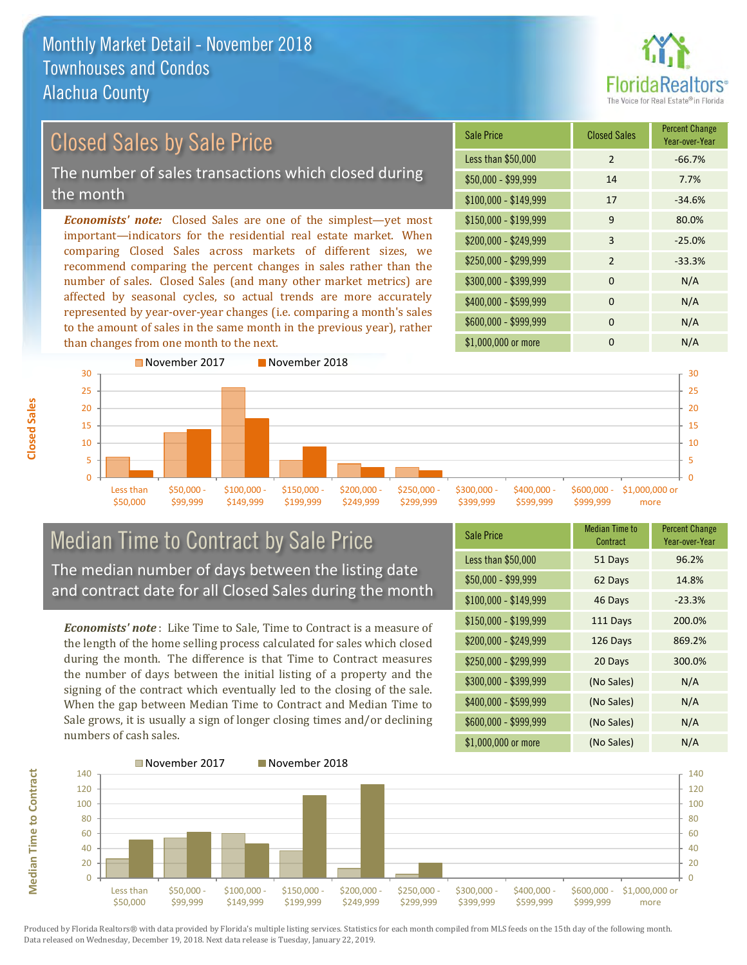

#### \$100,000 - \$149,999 17 -34.6% Sale Price Closed Sales Percent Change Year-over-Year Less than \$50,000 2 -66.7% \$50,000 - \$99,999 14 7.7%  $$150,000 - $199,999$  9 80.0% \$200,000 - \$249,999 3 -25.0% *Economists' note:* Closed Sales are one of the simplest—yet most important—indicators for the residential real estate market. When comparing Closed Sales across markets of different sizes, we recommend comparing the percent changes in sales rather than the number of sales. Closed Sales (and many other market metrics) are  $$250,000 - $299,999$  2 -33.3%  $$300,000 - $399,999$  0 N/A Closed Sales by Sale Price The number of sales transactions which closed during the month

affected by seasonal cycles, so actual trends are more accurately represented by year-over-year changes (i.e. comparing a month's sales to the amount of sales in the same month in the previous year), rather than changes from one month to the next.





### Median Time to Contract by Sale Price The median number of days between the listing date and contract date for all Closed Sales during the month

*Economists' note* : Like Time to Sale, Time to Contract is a measure of the length of the home selling process calculated for sales which closed during the month. The difference is that Time to Contract measures the number of days between the initial listing of a property and the signing of the contract which eventually led to the closing of the sale. When the gap between Median Time to Contract and Median Time to Sale grows, it is usually a sign of longer closing times and/or declining numbers of cash sales.

| <b>Sale Price</b>     | <b>Median Time to</b><br>Contract | <b>Percent Change</b><br>Year-over-Year |
|-----------------------|-----------------------------------|-----------------------------------------|
| Less than \$50,000    | 51 Days                           | 96.2%                                   |
| $$50,000 - $99,999$   | 62 Days                           | 14.8%                                   |
| $$100,000 - $149,999$ | 46 Days                           | $-23.3%$                                |
| $$150,000 - $199,999$ | 111 Days                          | 200.0%                                  |
| \$200,000 - \$249,999 | 126 Days                          | 869.2%                                  |
| \$250,000 - \$299,999 | 20 Days                           | 300.0%                                  |
| \$300,000 - \$399,999 | (No Sales)                        | N/A                                     |
| \$400,000 - \$599,999 | (No Sales)                        | N/A                                     |
| \$600,000 - \$999,999 | (No Sales)                        | N/A                                     |
| \$1,000,000 or more   | (No Sales)                        | N/A                                     |



Produced by Florida Realtors® with data provided by Florida's multiple listing services. Statistics for each month compiled from MLS feeds on the 15th day of the following month. Data released on Wednesday, December 19, 2018. Next data release is Tuesday, January 22, 2019.

**Median Time to Contract**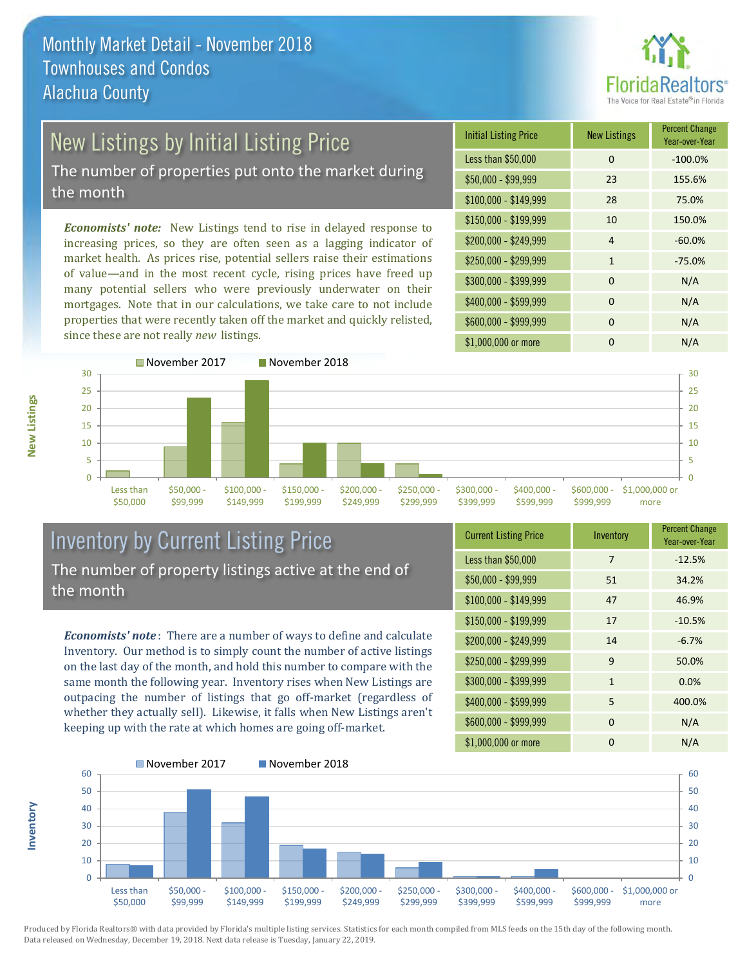

### New Listings by Initial Listing Price

The number of properties put onto the market during the month

*Economists' note:* New Listings tend to rise in delayed response to increasing prices, so they are often seen as a lagging indicator of market health. As prices rise, potential sellers raise their estimations of value—and in the most recent cycle, rising prices have freed up many potential sellers who were previously underwater on their mortgages. Note that in our calculations, we take care to not include properties that were recently taken off the market and quickly relisted, since these are not really *new* listings.





### Inventory by Current Listing Price The number of property listings active at the end of the month

*Economists' note* : There are a number of ways to define and calculate Inventory. Our method is to simply count the number of active listings on the last day of the month, and hold this number to compare with the same month the following year. Inventory rises when New Listings are outpacing the number of listings that go off-market (regardless of whether they actually sell). Likewise, it falls when New Listings aren't keeping up with the rate at which homes are going off-market.

**Inventory**

**New Listings**

| <b>Current Listing Price</b> | Inventory    | <b>Percent Change</b><br>Year-over-Year |
|------------------------------|--------------|-----------------------------------------|
| Less than \$50,000           | 7            | $-12.5%$                                |
| $$50,000 - $99,999$          | 51           | 34.2%                                   |
| $$100,000 - $149,999$        | 47           | 46.9%                                   |
| $$150,000 - $199,999$        | 17           | $-10.5%$                                |
| \$200,000 - \$249,999        | 14           | $-6.7%$                                 |
| \$250,000 - \$299,999        | 9            | 50.0%                                   |
| \$300,000 - \$399,999        | $\mathbf{1}$ | 0.0%                                    |
| \$400,000 - \$599,999        | 5            | 400.0%                                  |
| \$600,000 - \$999,999        | $\mathbf 0$  | N/A                                     |
| \$1,000,000 or more          | 0            | N/A                                     |

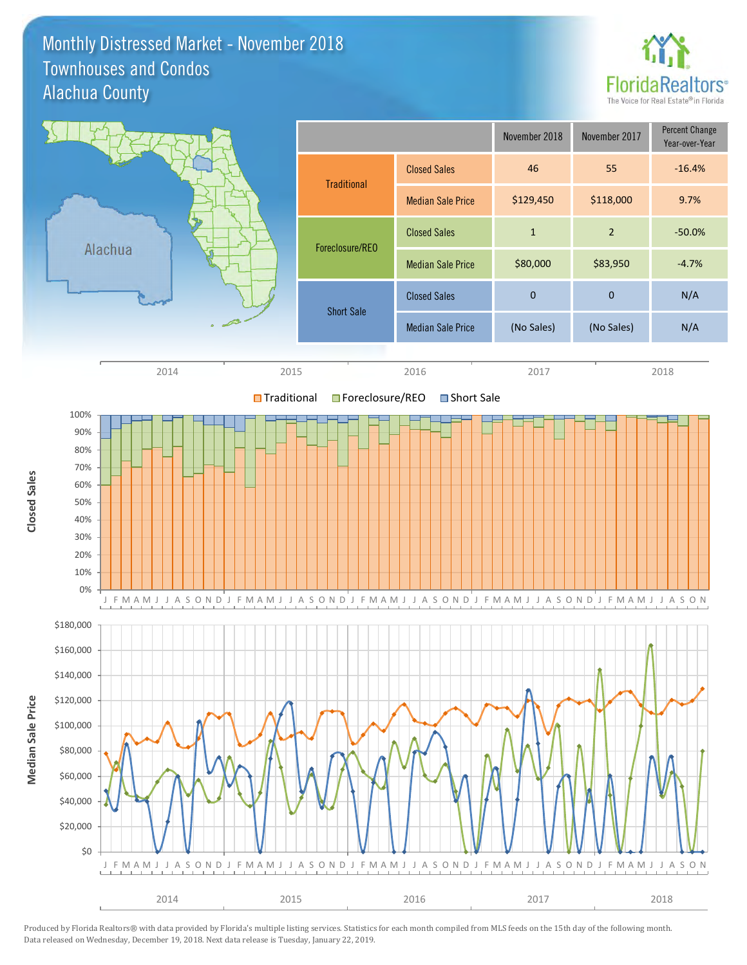### Monthly Distressed Market - November 2018 Alachua County Townhouses and Condos



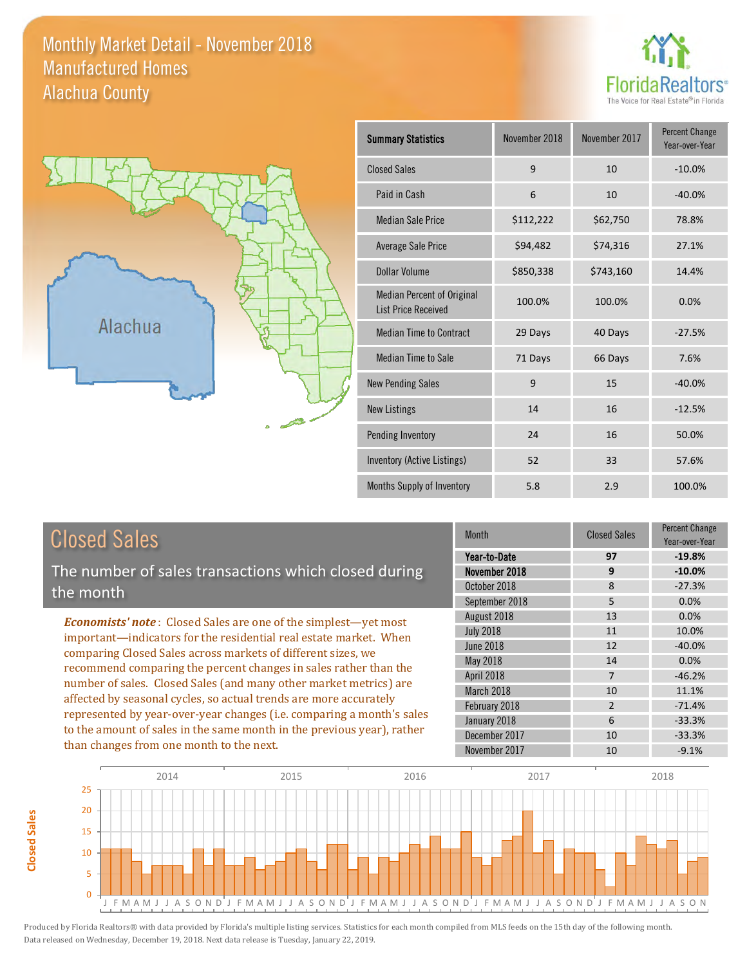#### Monthly Market Detail - November 2018 Alachua County Manufactured Homes





| <b>Summary Statistics</b>                                       | November 2018 | November 2017 | <b>Percent Change</b><br>Year-over-Year |
|-----------------------------------------------------------------|---------------|---------------|-----------------------------------------|
| <b>Closed Sales</b>                                             | 9             | 10            | $-10.0%$                                |
| Paid in Cash                                                    | 6             | 10            | $-40.0%$                                |
| <b>Median Sale Price</b>                                        | \$112,222     | \$62,750      | 78.8%                                   |
| <b>Average Sale Price</b>                                       | \$94,482      | \$74,316      | 27.1%                                   |
| <b>Dollar Volume</b>                                            | \$850,338     | \$743,160     | 14.4%                                   |
| <b>Median Percent of Original</b><br><b>List Price Received</b> | 100.0%        | 100.0%        | 0.0%                                    |
| <b>Median Time to Contract</b>                                  | 29 Days       | 40 Days       | $-27.5%$                                |
| <b>Median Time to Sale</b>                                      | 71 Days       | 66 Days       | 7.6%                                    |
| <b>New Pending Sales</b>                                        | 9             | 15            | $-40.0%$                                |
| <b>New Listings</b>                                             | 14            | 16            | $-12.5%$                                |
| Pending Inventory                                               | 24            | 16            | 50.0%                                   |
| Inventory (Active Listings)                                     | 52            | 33            | 57.6%                                   |
| Months Supply of Inventory                                      | 5.8           | 2.9           | 100.0%                                  |

### Closed Sales

**Closed Sales**

**Closed Sales** 

The number of sales transactions which closed during the month

*Economists' note* : Closed Sales are one of the simplest—yet most important—indicators for the residential real estate market. When comparing Closed Sales across markets of different sizes, we recommend comparing the percent changes in sales rather than the number of sales. Closed Sales (and many other market metrics) are affected by seasonal cycles, so actual trends are more accurately represented by year-over-year changes (i.e. comparing a month's sales to the amount of sales in the same month in the previous year), rather than changes from one month to the next.

| <b>Month</b>     | <b>Closed Sales</b> | Percent Change<br>Year-over-Year |
|------------------|---------------------|----------------------------------|
| Year-to-Date     | 97                  | $-19.8%$                         |
| November 2018    | 9                   | $-10.0%$                         |
| October 2018     | 8                   | $-27.3%$                         |
| September 2018   | 5                   | 0.0%                             |
| August 2018      | 13                  | 0.0%                             |
| <b>July 2018</b> | 11                  | 10.0%                            |
| <b>June 2018</b> | 12                  | $-40.0%$                         |
| May 2018         | 14                  | 0.0%                             |
| April 2018       | $\overline{7}$      | $-46.2%$                         |
| March 2018       | 10                  | 11.1%                            |
| February 2018    | $\overline{2}$      | $-71.4%$                         |
| January 2018     | 6                   | $-33.3%$                         |
| December 2017    | 10                  | $-33.3%$                         |
| November 2017    | 10                  | $-9.1%$                          |

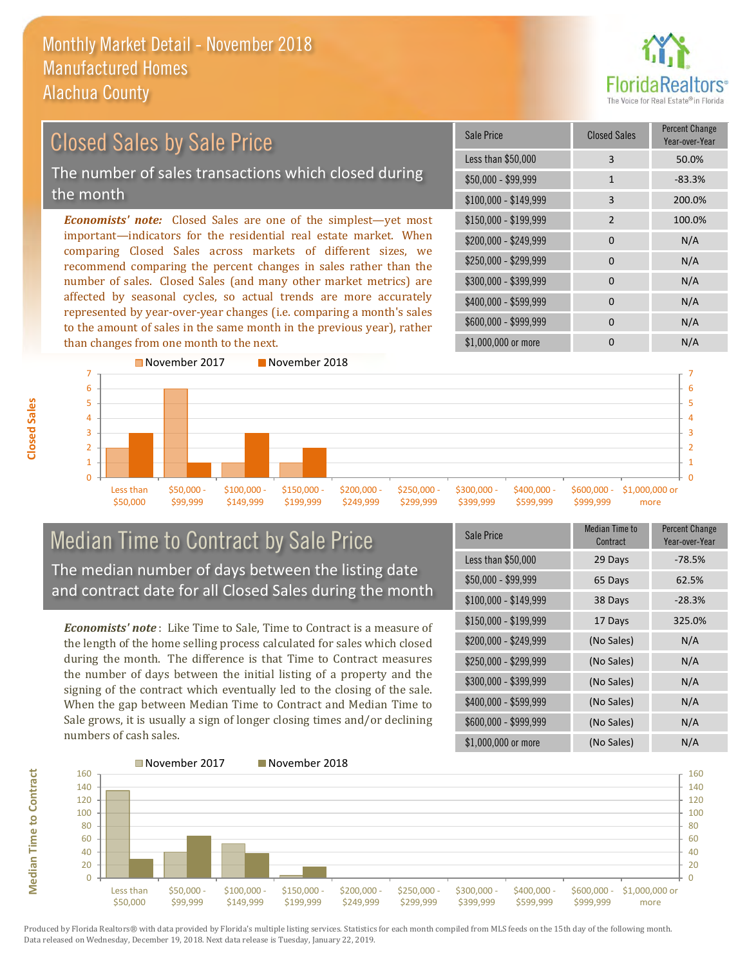

## Closed Sales by Sale Price

The number of sales transactions which closed during the month

*Economists' note:* Closed Sales are one of the simplest—yet most important—indicators for the residential real estate market. When comparing Closed Sales across markets of different sizes, we recommend comparing the percent changes in sales rather than the number of sales. Closed Sales (and many other market metrics) are affected by seasonal cycles, so actual trends are more accurately represented by year-over-year changes (i.e. comparing a month's sales to the amount of sales in the same month in the previous year), rather than changes from one month to the next.

| Sale Price            | <b>Closed Sales</b> | <b>Percent Change</b><br>Year-over-Year |
|-----------------------|---------------------|-----------------------------------------|
| Less than \$50,000    | 3                   | 50.0%                                   |
| $$50,000 - $99,999$   | $\mathbf{1}$        | $-83.3%$                                |
| $$100,000 - $149,999$ | 3                   | 200.0%                                  |
| \$150,000 - \$199,999 | $\overline{2}$      | 100.0%                                  |
| \$200,000 - \$249,999 | $\Omega$            | N/A                                     |
| \$250,000 - \$299,999 | 0                   | N/A                                     |
| \$300,000 - \$399,999 | 0                   | N/A                                     |
| \$400,000 - \$599,999 | 0                   | N/A                                     |
| \$600,000 - \$999,999 | 0                   | N/A                                     |
| \$1,000,000 or more   | n                   | N/A                                     |



### Median Time to Contract by Sale Price The median number of days between the listing date and contract date for all Closed Sales during the month

*Economists' note* : Like Time to Sale, Time to Contract is a measure of the length of the home selling process calculated for sales which closed during the month. The difference is that Time to Contract measures the number of days between the initial listing of a property and the signing of the contract which eventually led to the closing of the sale. When the gap between Median Time to Contract and Median Time to Sale grows, it is usually a sign of longer closing times and/or declining numbers of cash sales.

| Sale Price            | <b>Median Time to</b><br>Contract | <b>Percent Change</b><br>Year-over-Year |
|-----------------------|-----------------------------------|-----------------------------------------|
| Less than \$50,000    | 29 Days                           | $-78.5%$                                |
| \$50,000 - \$99,999   | 65 Days                           | 62.5%                                   |
| $$100,000 - $149,999$ | 38 Days                           | $-28.3%$                                |
| \$150,000 - \$199,999 | 17 Days                           | 325.0%                                  |
| \$200,000 - \$249,999 | (No Sales)                        | N/A                                     |
| \$250,000 - \$299,999 | (No Sales)                        | N/A                                     |
| \$300,000 - \$399,999 | (No Sales)                        | N/A                                     |
| \$400,000 - \$599,999 | (No Sales)                        | N/A                                     |
| \$600,000 - \$999,999 | (No Sales)                        | N/A                                     |
| \$1,000,000 or more   | (No Sales)                        | N/A                                     |



Produced by Florida Realtors® with data provided by Florida's multiple listing services. Statistics for each month compiled from MLS feeds on the 15th day of the following month. Data released on Wednesday, December 19, 2018. Next data release is Tuesday, January 22, 2019.

**Median Time to Contract**

**Median Time to Contract**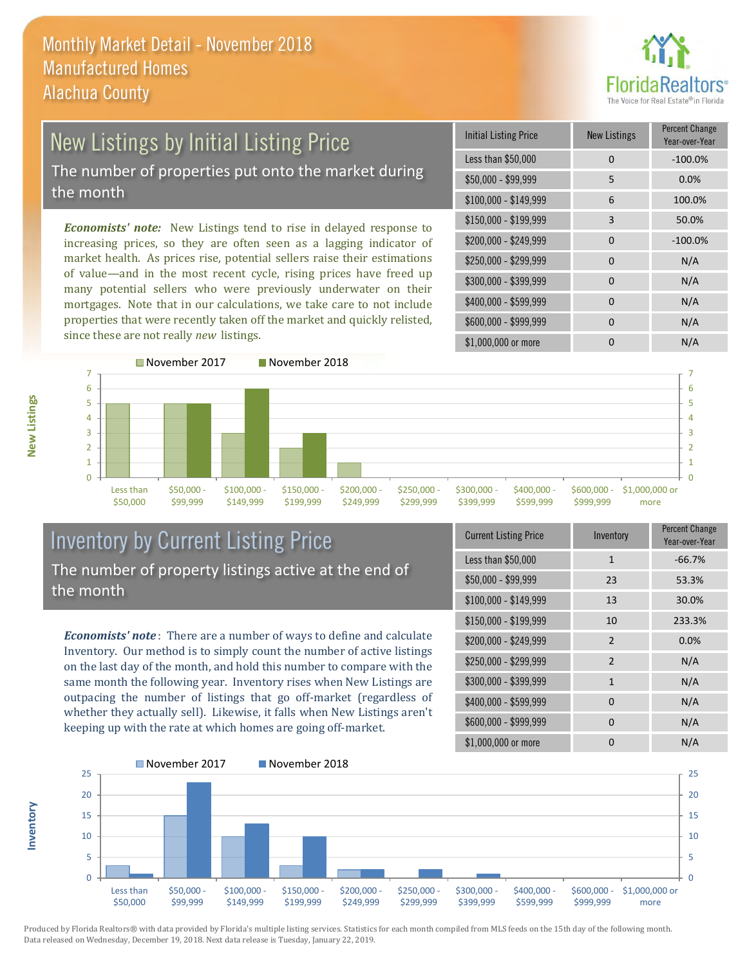

# New Listings by Initial Listing Price

The number of properties put onto the market during the month

*Economists' note:* New Listings tend to rise in delayed response to increasing prices, so they are often seen as a lagging indicator of market health. As prices rise, potential sellers raise their estimations of value—and in the most recent cycle, rising prices have freed up many potential sellers who were previously underwater on their mortgages. Note that in our calculations, we take care to not include properties that were recently taken off the market and quickly relisted, since these are not really *new* listings.

| <b>Initial Listing Price</b> | <b>New Listings</b> | <b>Percent Change</b><br>Year-over-Year |
|------------------------------|---------------------|-----------------------------------------|
| Less than \$50,000           | $\Omega$            | $-100.0%$                               |
| $$50,000 - $99,999$          | 5                   | 0.0%                                    |
| $$100,000 - $149,999$        | 6                   | 100.0%                                  |
| $$150,000 - $199,999$        | 3                   | 50.0%                                   |
| \$200,000 - \$249,999        | $\Omega$            | $-100.0%$                               |
| \$250,000 - \$299,999        | 0                   | N/A                                     |
| \$300,000 - \$399,999        | $\Omega$            | N/A                                     |
| \$400,000 - \$599,999        | $\Omega$            | N/A                                     |
| \$600,000 - \$999,999        | <sup>0</sup>        | N/A                                     |
| \$1,000,000 or more          |                     | N/A                                     |



### Inventory by Current Listing Price The number of property listings active at the end of the month

*Economists' note* : There are a number of ways to define and calculate Inventory. Our method is to simply count the number of active listings on the last day of the month, and hold this number to compare with the same month the following year. Inventory rises when New Listings are outpacing the number of listings that go off-market (regardless of whether they actually sell). Likewise, it falls when New Listings aren't keeping up with the rate at which homes are going off-market.

| <b>Current Listing Price</b> | Inventory      | Percent Change<br>Year-over-Year |
|------------------------------|----------------|----------------------------------|
| Less than \$50,000           | 1              | $-66.7%$                         |
| $$50,000 - $99,999$          | 23             | 53.3%                            |
| $$100,000 - $149,999$        | 13             | 30.0%                            |
| $$150,000 - $199,999$        | 10             | 233.3%                           |
| \$200,000 - \$249,999        | $\overline{2}$ | 0.0%                             |
| \$250,000 - \$299,999        | $\overline{2}$ | N/A                              |
| \$300,000 - \$399,999        | $\mathbf{1}$   | N/A                              |
| \$400,000 - \$599,999        | 0              | N/A                              |
| \$600,000 - \$999,999        | 0              | N/A                              |
| \$1,000,000 or more          | 0              | N/A                              |



Produced by Florida Realtors® with data provided by Florida's multiple listing services. Statistics for each month compiled from MLS feeds on the 15th day of the following month. Data released on Wednesday, December 19, 2018. Next data release is Tuesday, January 22, 2019.

**Inventory**